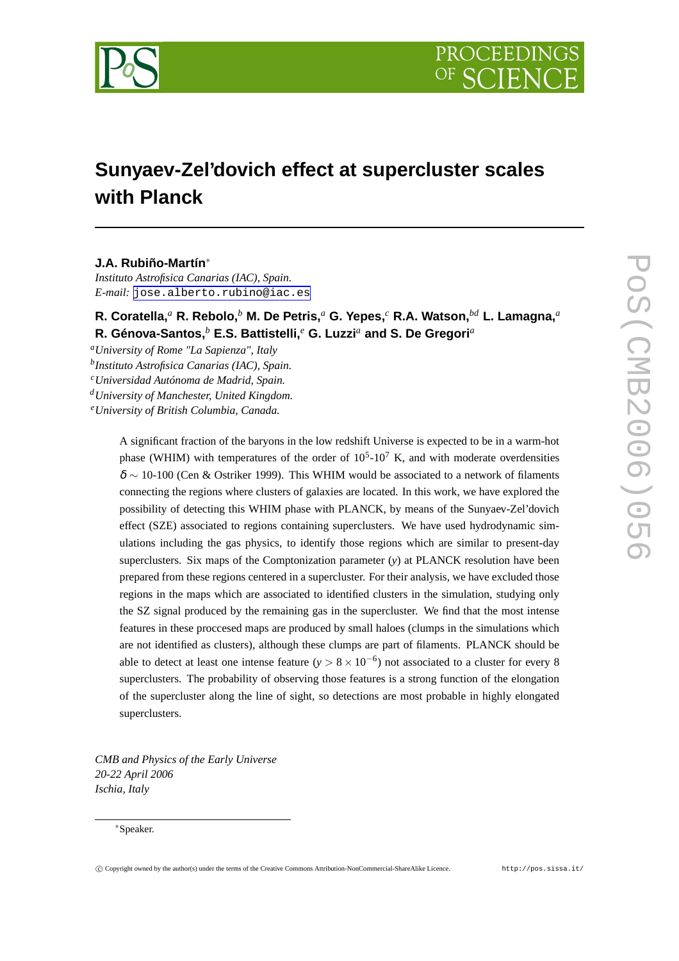

# **Sunyaev-Zel'dovich effect at supercluster scales with Planck**

# **J.A. Rubiño-Martín**<sup>∗</sup>

*Instituto Astrofisica Canarias (IAC), Spain. E-mail:* [jose.alberto.rubino@iac.es](mailto:jose.alberto.rubino@iac.es)

**R. Coratella,***<sup>a</sup>* **R. Rebolo,***<sup>b</sup>* **M. De Petris,***<sup>a</sup>* **G. Yepes,***<sup>c</sup>* **R.A. Watson,***bd* **L. Lamagna,***<sup>a</sup>* **R. Génova-Santos,***<sup>b</sup>* **E.S. Battistelli,***<sup>e</sup>* **G. Luzzi***<sup>a</sup>* **and S. De Gregori***<sup>a</sup>*

*<sup>a</sup>University of Rome "La Sapienza", Italy b Instituto Astrofisica Canarias (IAC), Spain. <sup>c</sup>Universidad Autónoma de Madrid, Spain.*

*<sup>d</sup>University of Manchester, United Kingdom.*

*<sup>e</sup>University of British Columbia, Canada.*

A significant fraction of the baryons in the low redshift Universe is expected to be in a warm-hot phase (WHIM) with temperatures of the order of  $10^5$ - $10^7$  K, and with moderate overdensities  $\delta \sim 10$ -100 (Cen & Ostriker 1999). This WHIM would be associated to a network of filaments connecting the regions where clusters of galaxies are located. In this work, we have explored the possibility of detecting this WHIM phase with PLANCK, by means of the Sunyaev-Zel'dovich effect (SZE) associated to regions containing superclusters. We have used hydrodynamic simulations including the gas physics, to identify those regions which are similar to present-day superclusters. Six maps of the Comptonization parameter (*y*) at PLANCK resolution have been prepared from these regions centered in a supercluster. For their analysis, we have excluded those regions in the maps which are associated to identified clusters in the simulation, studying only the SZ signal produced by the remaining gas in the supercluster. We find that the most intense features in these proccesed maps are produced by small haloes (clumps in the simulations which are not identified as clusters), although these clumps are part of filaments. PLANCK should be able to detect at least one intense feature  $(y > 8 \times 10^{-6})$  not associated to a cluster for every 8 superclusters. The probability of observing those features is a strong function of the elongation of the supercluster along the line of sight, so detections are most probable in highly elongated superclusters.

*CMB and Physics of the Early Universe 20-22 April 2006 Ischia, Italy*

#### <sup>∗</sup>Speaker.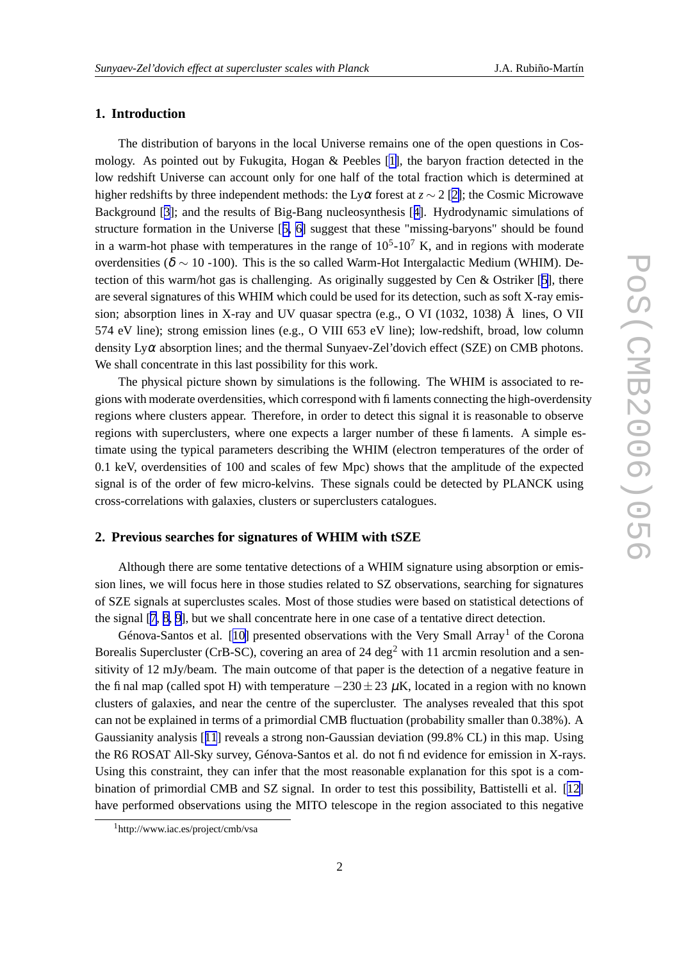## **1. Introduction**

The distribution of baryons in the local Universe remains one of the open questions in Cosmology. As pointed out by Fukugita, Hogan & Peebles [\[1\]](#page-3-0), the baryon fraction detected in the low redshift Universe can account only for one half of the total fraction which is determined at higher redshifts by three independent methods: the Ly $\alpha$  forest at  $z \sim 2$  [[2\]](#page-3-0); the Cosmic Microwave Background [[3](#page-3-0)]; and the results of Big-Bang nucleosynthesis [[4\]](#page-3-0). Hydrodynamic simulations of structure formation in the Universe [[5,](#page-3-0) [6\]](#page-3-0) suggest that these "missing-baryons" should be found in a warm-hot phase with temperatures in the range of  $10<sup>5</sup>$ -10<sup>7</sup> K, and in regions with moderate overdensities ( $\delta \sim 10$  -100). This is the so called Warm-Hot Intergalactic Medium (WHIM). Detection of this warm/hot gas is challenging. As originally suggested by Cen & Ostriker [[5\]](#page-3-0), there are several signatures of this WHIM which could be used for its detection, such as soft X-ray emission; absorption lines in X-ray and UV quasar spectra (e.g., O VI (1032, 1038) Å lines, O VII 574 eV line); strong emission lines (e.g., O VIII 653 eV line); low-redshift, broad, low column density  $Ly\alpha$  absorption lines; and the thermal Sunyaev-Zel'dovich effect (SZE) on CMB photons. We shall concentrate in this last possibility for this work.

The physical picture shown by simulations is the following. The WHIM is associated to regions with moderate overdensities, which correspond with filaments connecting the high-overdensity regions where clusters appear. Therefore, in order to detect this signal it is reasonable to observe regions with superclusters, where one expects a larger number of these filaments. A simple estimate using the typical parameters describing the WHIM (electron temperatures of the order of 0.1 keV, overdensities of 100 and scales of few Mpc) shows that the amplitude of the expected signal is of the order of few micro-kelvins. These signals could be detected by PLANCK using cross-correlations with galaxies, clusters or superclusters catalogues.

#### **2. Previous searches for signatures of WHIM with tSZE**

Although there are some tentative detections of a WHIM signature using absorption or emission lines, we will focus here in those studies related to SZ observations, searching for signatures of SZE signals at superclustes scales. Most of those studies were based on statistical detections of the signal [[7](#page-3-0), [8](#page-3-0), [9\]](#page-3-0), but we shall concentrate here in one case of a tentative direct detection.

Génova-Santos et al. [[10\]](#page-3-0) presented observations with the Very Small Array<sup>1</sup> of the Corona Borealis Supercluster (CrB-SC), covering an area of 24 deg<sup>2</sup> with 11 arcmin resolution and a sensitivity of 12 mJy/beam. The main outcome of that paper is the detection of a negative feature in the final map (called spot H) with temperature  $-230 \pm 23 \mu$ K, located in a region with no known clusters of galaxies, and near the centre of the supercluster. The analyses revealed that this spot can not be explained in terms of a primordial CMB fluctuation (probability smaller than 0.38%). A Gaussianity analysis [[11](#page-3-0)] reveals a strong non-Gaussian deviation (99.8% CL) in this map. Using the R6 ROSAT All-Sky survey, Génova-Santos et al. do not find evidence for emission in X-rays. Using this constraint, they can infer that the most reasonable explanation for this spot is a combination of primordial CMB and SZ signal. In order to test this possibility, Battistelli et al. [[12\]](#page-3-0) have performed observations using the MITO telescope in the region associated to this negative

<sup>1</sup>http://www.iac.es/project/cmb/vsa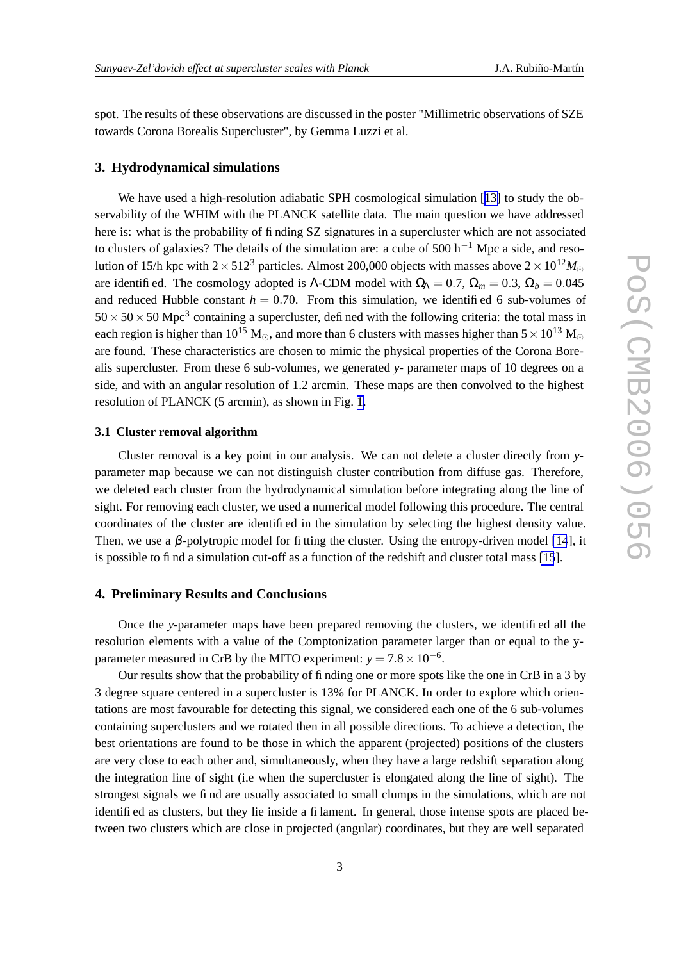spot. The results of these observations are discussed in the poster "Millimetric observations of SZE towards Corona Borealis Supercluster", by Gemma Luzzi et al.

### **3. Hydrodynamical simulations**

We have used a high-resolution adiabatic SPH cosmological simulation [[13\]](#page-3-0) to study the observability of the WHIM with the PLANCK satellite data. The main question we have addressed here is: what is the probability of finding SZ signatures in a supercluster which are not associated to clusters of galaxies? The details of the simulation are: a cube of 500 h<sup>-1</sup> Mpc a side, and resolution of 15/h kpc with  $2 \times 512^3$  particles. Almost 200,000 objects with masses above  $2 \times 10^{12} M_{\odot}$ are identified. The cosmology adopted is Λ-CDM model with  $\Omega_0 = 0.7$ ,  $\Omega_m = 0.3$ ,  $\Omega_b = 0.045$ and reduced Hubble constant  $h = 0.70$ . From this simulation, we identified 6 sub-volumes of  $50 \times 50 \times 50$  Mpc<sup>3</sup> containing a supercluster, defined with the following criteria: the total mass in each region is higher than 10<sup>15</sup> M<sub> $\odot$ </sub>, and more than 6 clusters with masses higher than  $5 \times 10^{13}$  M<sub> $\odot$ </sub> are found. These characteristics are chosen to mimic the physical properties of the Corona Borealis supercluster. From these 6 sub-volumes, we generated *y*- parameter maps of 10 degrees on a side, and with an angular resolution of 1.2 arcmin. These maps are then convolved to the highest resolution of PLANCK (5 arcmin), as shown in Fig. [1.](#page-3-0)

#### **3.1 Cluster removal algorithm**

Cluster removal is a key point in our analysis. We can not delete a cluster directly from *y*parameter map because we can not distinguish cluster contribution from diffuse gas. Therefore, we deleted each cluster from the hydrodynamical simulation before integrating along the line of sight. For removing each cluster, we used a numerical model following this procedure. The central coordinates of the cluster are identified in the simulation by selecting the highest density value. Then, we use a  $\beta$ -polytropic model for fitting the cluster. Using the entropy-driven model [\[14](#page-3-0)], it is possible to find a simulation cut-off as a function of the redshift and cluster total mass [\[15](#page-3-0)].

#### **4. Preliminary Results and Conclusions**

Once the *y*-parameter maps have been prepared removing the clusters, we identified all the resolution elements with a value of the Comptonization parameter larger than or equal to the yparameter measured in CrB by the MITO experiment:  $y = 7.8 \times 10^{-6}$ .

Our results show that the probability of finding one or more spots like the one in CrB in a 3 by 3 degree square centered in a supercluster is 13% for PLANCK. In order to explore which orientations are most favourable for detecting this signal, we considered each one of the 6 sub-volumes containing superclusters and we rotated then in all possible directions. To achieve a detection, the best orientations are found to be those in which the apparent (projected) positions of the clusters are very close to each other and, simultaneously, when they have a large redshift separation along the integration line of sight (i.e when the supercluster is elongated along the line of sight). The strongest signals we find are usually associated to small clumps in the simulations, which are not identified as clusters, but they lie inside a filament. In general, those intense spots are placed between two clusters which are close in projected (angular) coordinates, but they are well separated